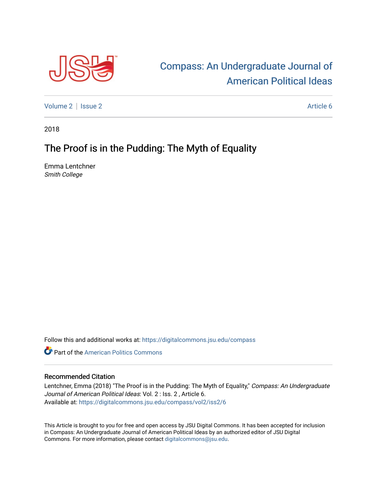

## [Compass: An Undergraduate Journal of](https://digitalcommons.jsu.edu/compass)  [American Political Ideas](https://digitalcommons.jsu.edu/compass)

[Volume 2](https://digitalcommons.jsu.edu/compass/vol2) | [Issue 2](https://digitalcommons.jsu.edu/compass/vol2/iss2) Article 6

2018

## The Proof is in the Pudding: The Myth of Equality

Emma Lentchner Smith College

Follow this and additional works at: [https://digitalcommons.jsu.edu/compass](https://digitalcommons.jsu.edu/compass?utm_source=digitalcommons.jsu.edu%2Fcompass%2Fvol2%2Fiss2%2F6&utm_medium=PDF&utm_campaign=PDFCoverPages)

**C** Part of the American Politics Commons

## Recommended Citation

Lentchner, Emma (2018) "The Proof is in the Pudding: The Myth of Equality," Compass: An Undergraduate Journal of American Political Ideas: Vol. 2 : Iss. 2 , Article 6. Available at: [https://digitalcommons.jsu.edu/compass/vol2/iss2/6](https://digitalcommons.jsu.edu/compass/vol2/iss2/6?utm_source=digitalcommons.jsu.edu%2Fcompass%2Fvol2%2Fiss2%2F6&utm_medium=PDF&utm_campaign=PDFCoverPages)

This Article is brought to you for free and open access by JSU Digital Commons. It has been accepted for inclusion in Compass: An Undergraduate Journal of American Political Ideas by an authorized editor of JSU Digital Commons. For more information, please contact [digitalcommons@jsu.edu.](mailto:digitalcommons@jsu.edu)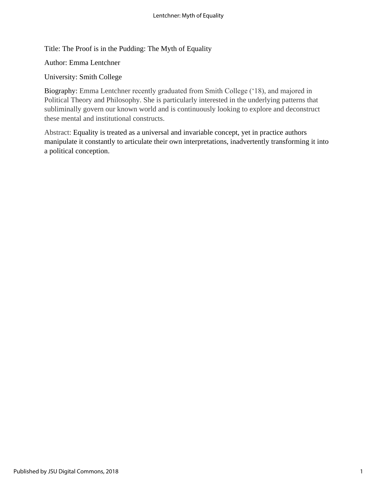Title: The Proof is in the Pudding: The Myth of Equality

Author: Emma Lentchner

University: Smith College

Biography: Emma Lentchner recently graduated from Smith College ('18), and majored in Political Theory and Philosophy. She is particularly interested in the underlying patterns that subliminally govern our known world and is continuously looking to explore and deconstruct these mental and institutional constructs.

Abstract: Equality is treated as a universal and invariable concept, yet in practice authors manipulate it constantly to articulate their own interpretations, inadvertently transforming it into a political conception.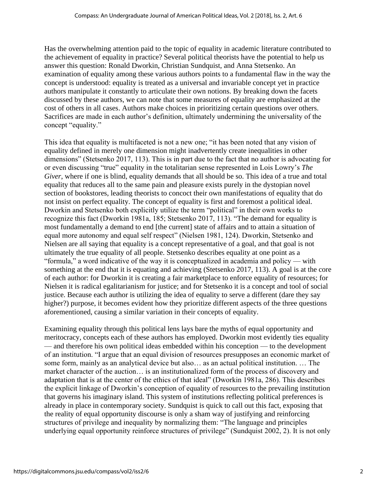Has the overwhelming attention paid to the topic of equality in academic literature contributed to the achievement of equality in practice? Several political theorists have the potential to help us answer this question: Ronald Dworkin, Christian Sundquist, and Anna Stetsenko. An examination of equality among these various authors points to a fundamental flaw in the way the concept is understood: equality is treated as a universal and invariable concept yet in practice authors manipulate it constantly to articulate their own notions. By breaking down the facets discussed by these authors, we can note that some measures of equality are emphasized at the cost of others in all cases. Authors make choices in prioritizing certain questions over others. Sacrifices are made in each author's definition, ultimately undermining the universality of the concept "equality."

This idea that equality is multifaceted is not a new one; "it has been noted that any vision of equality defined in merely one dimension might inadvertently create inequalities in other dimensions" (Stetsenko 2017, 113). This is in part due to the fact that no author is advocating for or even discussing "true" equality in the totalitarian sense represented in Lois Lowry's *The Giver*, where if one is blind, equality demands that all should be so. This idea of a true and total equality that reduces all to the same pain and pleasure exists purely in the dystopian novel section of bookstores, leading theorists to concoct their own manifestations of equality that do not insist on perfect equality. The concept of equality is first and foremost a political ideal. Dworkin and Stetsenko both explicitly utilize the term "political" in their own works to recognize this fact (Dworkin 1981a, 185; Stetsenko 2017, 113). "The demand for equality is most fundamentally a demand to end [the current] state of affairs and to attain a situation of equal more autonomy and equal self respect" (Nielsen 1981, 124). Dworkin, Stetsenko and Nielsen are all saying that equality is a concept representative of a goal, and that goal is not ultimately the true equality of all people. Stetsenko describes equality at one point as a "formula," a word indicative of the way it is conceptualized in academia and policy — with something at the end that it is equating and achieving (Stetsenko 2017, 113). A goal is at the core of each author: for Dworkin it is creating a fair marketplace to enforce equality of resources; for Nielsen it is radical egalitarianism for justice; and for Stetsenko it is a concept and tool of social justice. Because each author is utilizing the idea of equality to serve a different (dare they say higher?) purpose, it becomes evident how they prioritize different aspects of the three questions aforementioned, causing a similar variation in their concepts of equality.

Examining equality through this political lens lays bare the myths of equal opportunity and meritocracy, concepts each of these authors has employed. Dworkin most evidently ties equality — and therefore his own political ideas embedded within his conception — to the development of an institution. "I argue that an equal division of resources presupposes an economic market of some form, mainly as an analytical device but also… as an actual political institution. … The market character of the auction… is an institutionalized form of the process of discovery and adaptation that is at the center of the ethics of that ideal" (Dworkin 1981a, 286). This describes the explicit linkage of Dworkin's conception of equality of resources to the prevailing institution that governs his imaginary island. This system of institutions reflecting political preferences is already in place in contemporary society. Sundquist is quick to call out this fact, exposing that the reality of equal opportunity discourse is only a sham way of justifying and reinforcing structures of privilege and inequality by normalizing them: "The language and principles underlying equal opportunity reinforce structures of privilege" (Sundquist 2002, 2). It is not only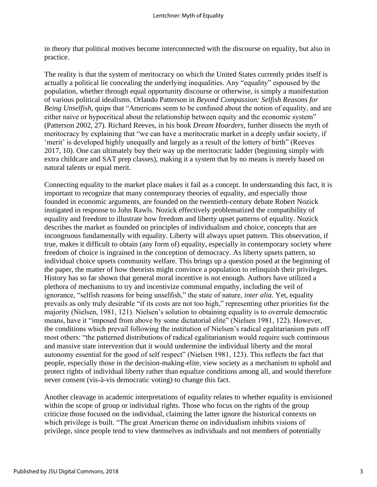in theory that political motives become interconnected with the discourse on equality, but also in practice.

The reality is that the system of meritocracy on which the United States currently prides itself is actually a political lie concealing the underlying inequalities. Any "equality" espoused by the population, whether through equal opportunity discourse or otherwise, is simply a manifestation of various political idealisms. Orlando Patterson in *Beyond Compassion: Selfish Reasons for Being Unselfish*, quips that "Americans seem to be confused about the notion of equality, and are either naive or hypocritical about the relationship between equity and the economic system" (Patterson 2002, 27). Richard Reeves, in his book *Dream Hoarders*, further dissects the myth of meritocracy by explaining that "we can have a meritocratic market in a deeply unfair society, if 'merit' is developed highly unequally and largely as a result of the lottery of birth" (Reeves 2017, 10). One can ultimately buy their way up the meritocratic ladder (beginning simply with extra childcare and SAT prep classes), making it a system that by no means is merely based on natural talents or equal merit.

Connecting equality to the market place makes it fail as a concept. In understanding this fact, it is important to recognize that many contemporary theories of equality, and especially those founded in economic arguments, are founded on the twentieth-century debate Robert Nozick instigated in response to John Rawls. Nozick effectively problematized the compatibility of equality and freedom to illustrate how freedom and liberty upset patterns of equality. Nozick describes the market as founded on principles of individualism and choice, concepts that are incongruous fundamentally with equality. Liberty will always upset pattern. This observation, if true, makes it difficult to obtain (any form of) equality, especially in contemporary society where freedom of choice is ingrained in the conception of democracy. As liberty upsets pattern, so individual choice upsets community welfare. This brings up a question posed at the beginning of the paper, the matter of how theorists might convince a population to relinquish their privileges. History has so far shown that general moral incentive is not enough. Authors have utilized a plethora of mechanisms to try and incentivize communal empathy, including the veil of ignorance, "selfish reasons for being unselfish," the state of nature, *inter alia*. Yet, equality prevails as only truly desirable "if its costs are not too high," representing other priorities for the majority (Nielsen, 1981, 121). Nielsen's solution to obtaining equality is to overrule democratic means, have it "imposed from above by some dictatorial elite" (Nielsen 1981, 122). However, the conditions which prevail following the institution of Nielsen's radical egalitarianism puts off most others: "the patterned distributions of radical egalitarianism would require such continuous and massive state intervention that it would undermine the individual liberty and the moral autonomy essential for the good of self respect" (Nielsen 1981, 123). This reflects the fact that people, especially those in the decision-making-elite, view society as a mechanism to uphold and protect rights of individual liberty rather than equalize conditions among all, and would therefore never consent (vis-à-vis democratic voting) to change this fact.

Another cleavage in academic interpretations of equality relates to whether equality is envisioned within the scope of group or individual rights. Those who focus on the rights of the group criticize those focused on the individual, claiming the latter ignore the historical contexts on which privilege is built. "The great American theme on individualism inhibits visions of privilege, since people tend to view themselves as individuals and not members of potentially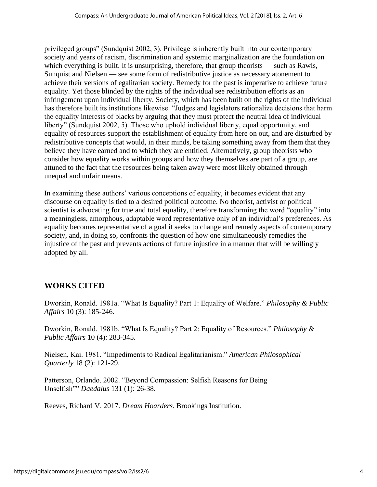privileged groups" (Sundquist 2002, 3). Privilege is inherently built into our contemporary society and years of racism, discrimination and systemic marginalization are the foundation on which everything is built. It is unsurprising, therefore, that group theorists — such as Rawls, Sunquist and Nielsen — see some form of redistributive justice as necessary atonement to achieve their versions of egalitarian society. Remedy for the past is imperative to achieve future equality. Yet those blinded by the rights of the individual see redistribution efforts as an infringement upon individual liberty. Society, which has been built on the rights of the individual has therefore built its institutions likewise. "Judges and legislators rationalize decisions that harm the equality interests of blacks by arguing that they must protect the neutral idea of individual liberty" (Sundquist 2002, 5). Those who uphold individual liberty, equal opportunity, and equality of resources support the establishment of equality from here on out, and are disturbed by redistributive concepts that would, in their minds, be taking something away from them that they believe they have earned and to which they are entitled. Alternatively, group theorists who consider how equality works within groups and how they themselves are part of a group, are attuned to the fact that the resources being taken away were most likely obtained through unequal and unfair means.

In examining these authors' various conceptions of equality, it becomes evident that any discourse on equality is tied to a desired political outcome. No theorist, activist or political scientist is advocating for true and total equality, therefore transforming the word "equality" into a meaningless, amorphous, adaptable word representative only of an individual's preferences. As equality becomes representative of a goal it seeks to change and remedy aspects of contemporary society, and, in doing so, confronts the question of how one simultaneously remedies the injustice of the past and prevents actions of future injustice in a manner that will be willingly adopted by all.

## **WORKS CITED**

Dworkin, Ronald. 1981a. "What Is Equality? Part 1: Equality of Welfare." *Philosophy & Public Affairs* 10 (3): 185-246.

Dworkin, Ronald. 1981b. "What Is Equality? Part 2: Equality of Resources." *Philosophy & Public Affairs* 10 (4): 283-345.

Nielsen, Kai. 1981. "Impediments to Radical Egalitarianism." *American Philosophical Quarterly* 18 (2): 121-29.

Patterson, Orlando. 2002. "Beyond Compassion: Selfish Reasons for Being Unselfish"" *Daedalus* 131 (1): 26-38.

Reeves, Richard V. 2017. *Dream Hoarders*. Brookings Institution.